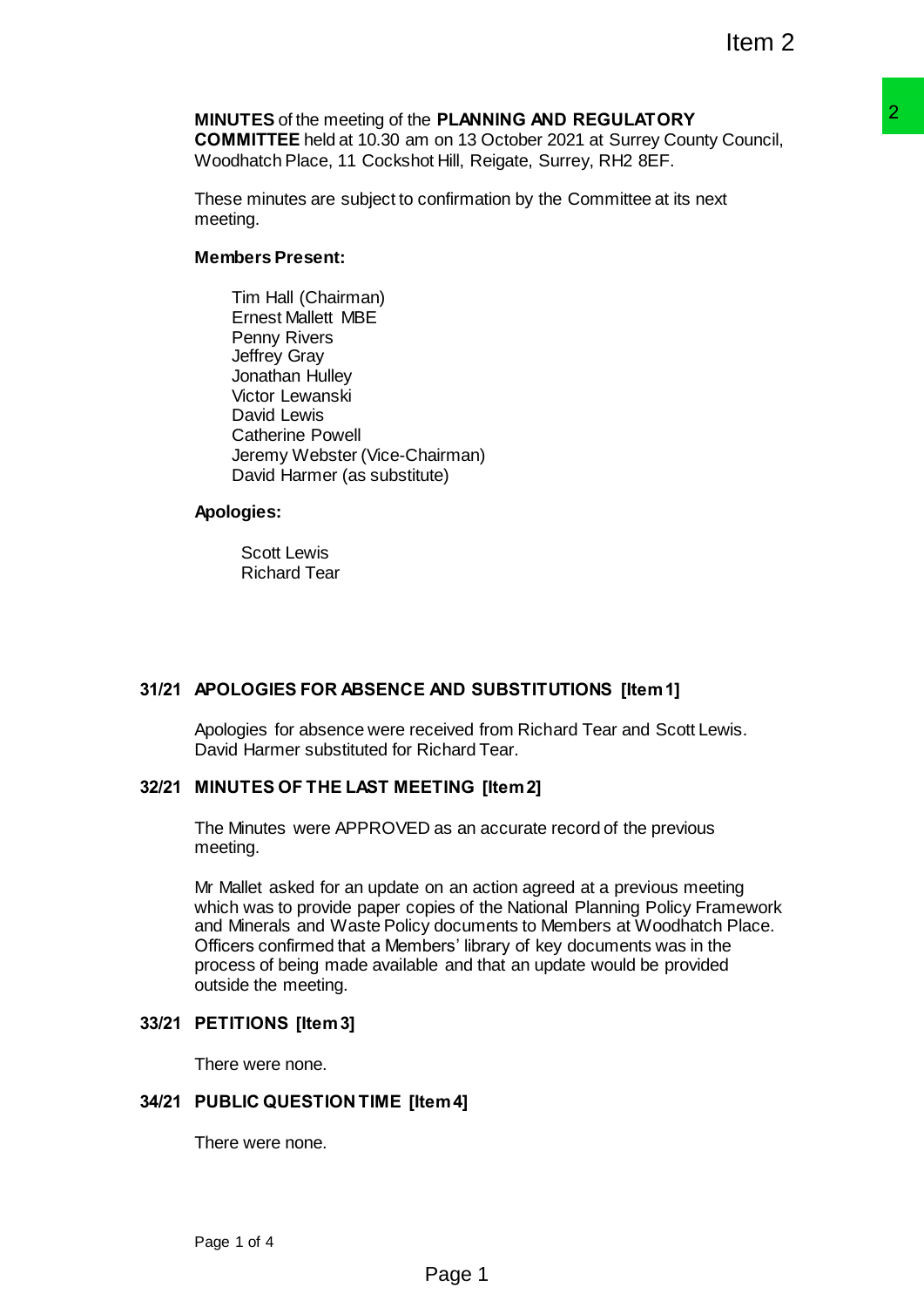# **MINUTES** of the meeting of the **PLANNING AND REGULATORY COMMITTEE** held at 10.30 am on 13 October 2021 at Surrey County Council,

Woodhatch Place, 11 Cockshot Hill, Reigate, Surrey, RH2 8EF.

These minutes are subject to confirmation by the Committee at its next meeting.

# **Members Present:**

Tim Hall (Chairman) Ernest Mallett MBE Penny Rivers Jeffrey Gray Jonathan Hulley Victor Lewanski David Lewis Catherine Powell Jeremy Webster (Vice-Chairman) David Harmer (as substitute)

# **Apologies:**

Scott Lewis Richard Tear

# **31/21 APOLOGIES FOR ABSENCE AND SUBSTITUTIONS [Item 1]**

Apologies for absence were received from Richard Tear and Scott Lewis. David Harmer substituted for Richard Tear.

# **32/21 MINUTES OF THE LAST MEETING [Item 2]**

The Minutes were APPROVED as an accurate record of the previous meeting.

Mr Mallet asked for an update on an action agreed at a previous meeting which was to provide paper copies of the National Planning Policy Framework and Minerals and Waste Policy documents to Members at Woodhatch Place. Officers confirmed that a Members' library of key documents was in the process of being made available and that an update would be provided outside the meeting. **P PLANING AND REGULATORY**<br> **PLANING AND REGULATORY**<br>
Con 13 October 2021 at Surrey County Council,<br>
2<br>
2<br>
2<br>
2<br> **AND SUBSTITUTIONS** [Item 1]<br>
<br> **AND SUBSTITUTIONS** [Item 1]<br>
<br> **AND SUBSTITUTIONS** [Item 1]<br>
<br> **AND SUBSTITU** 

# **33/21 PETITIONS [Item 3]**

There were none.

# **34/21 PUBLIC QUESTION TIME [Item 4]**

There were none.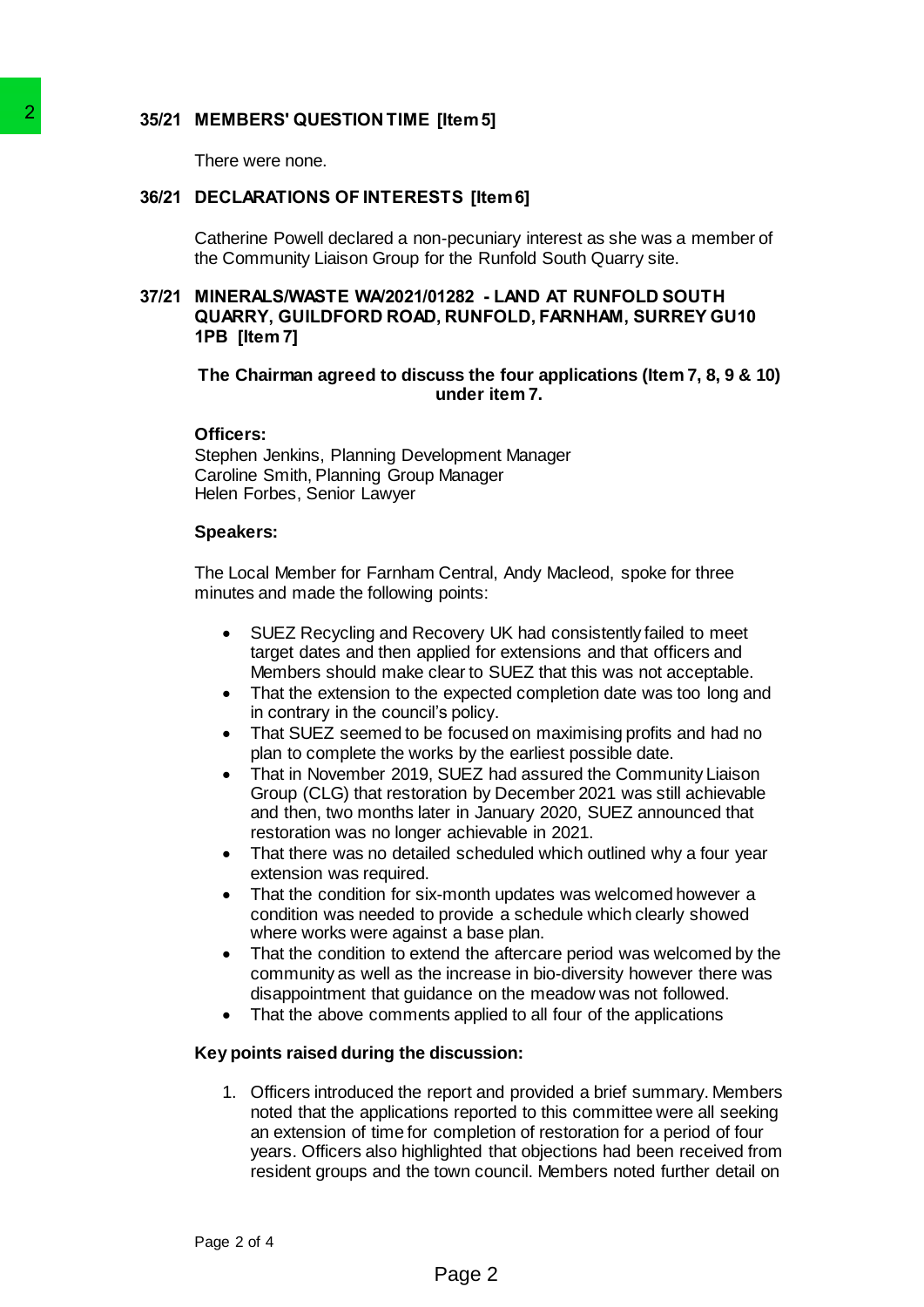# **35/21 MEMBERS' QUESTION TIME [Item 5]**

There were none.

# **36/21 DECLARATIONS OF INTERESTS [Item 6]**

Catherine Powell declared a non-pecuniary interest as she was a member of the Community Liaison Group for the Runfold South Quarry site.

# **37/21 MINERALS/WASTE WA/2021/01282 - LAND AT RUNFOLD SOUTH QUARRY, GUILDFORD ROAD, RUNFOLD, FARNHAM, SURREY GU10 1PB [Item 7]**

# **The Chairman agreed to discuss the four applications (Item 7, 8, 9 & 10) under item 7.**

# **Officers:**

Stephen Jenkins, Planning Development Manager Caroline Smith, Planning Group Manager Helen Forbes, Senior Lawyer

### **Speakers:**

The Local Member for Farnham Central, Andy Macleod, spoke for three minutes and made the following points:

- SUEZ Recycling and Recovery UK had consistently failed to meet target dates and then applied for extensions and that officers and Members should make clear to SUEZ that this was not acceptable.
- That the extension to the expected completion date was too long and in contrary in the council's policy.
- That SUEZ seemed to be focused on maximising profits and had no plan to complete the works by the earliest possible date.
- That in November 2019, SUEZ had assured the Community Liaison Group (CLG) that restoration by December 2021 was still achievable and then, two months later in January 2020, SUEZ announced that restoration was no longer achievable in 2021.
- That there was no detailed scheduled which outlined why a four year extension was required.
- That the condition for six-month updates was welcomed however a condition was needed to provide a schedule which clearly showed where works were against a base plan.
- That the condition to extend the aftercare period was welcomed by the community as well as the increase in bio-diversity however there was disappointment that guidance on the meadow was not followed.
- That the above comments applied to all four of the applications

# **Key points raised during the discussion:**

1. Officers introduced the report and provided a brief summary. Members noted that the applications reported to this committee were all seeking an extension of time for completion of restoration for a period of four years. Officers also highlighted that objections had been received from resident groups and the town council. Members noted further detail on 36/21 MEMBERS' QUESTION TIME [Item 5]<br>
There were none.<br>
36/21 DECLARATIONS OF INTERESTS [Itel<br>
calmetine Powel declared anon-pecunine<br>
the Community Liaison Group for the Rt<br>
37/21 MINERALSWASTE WA/2021/01282 - 1<br>
204ARN,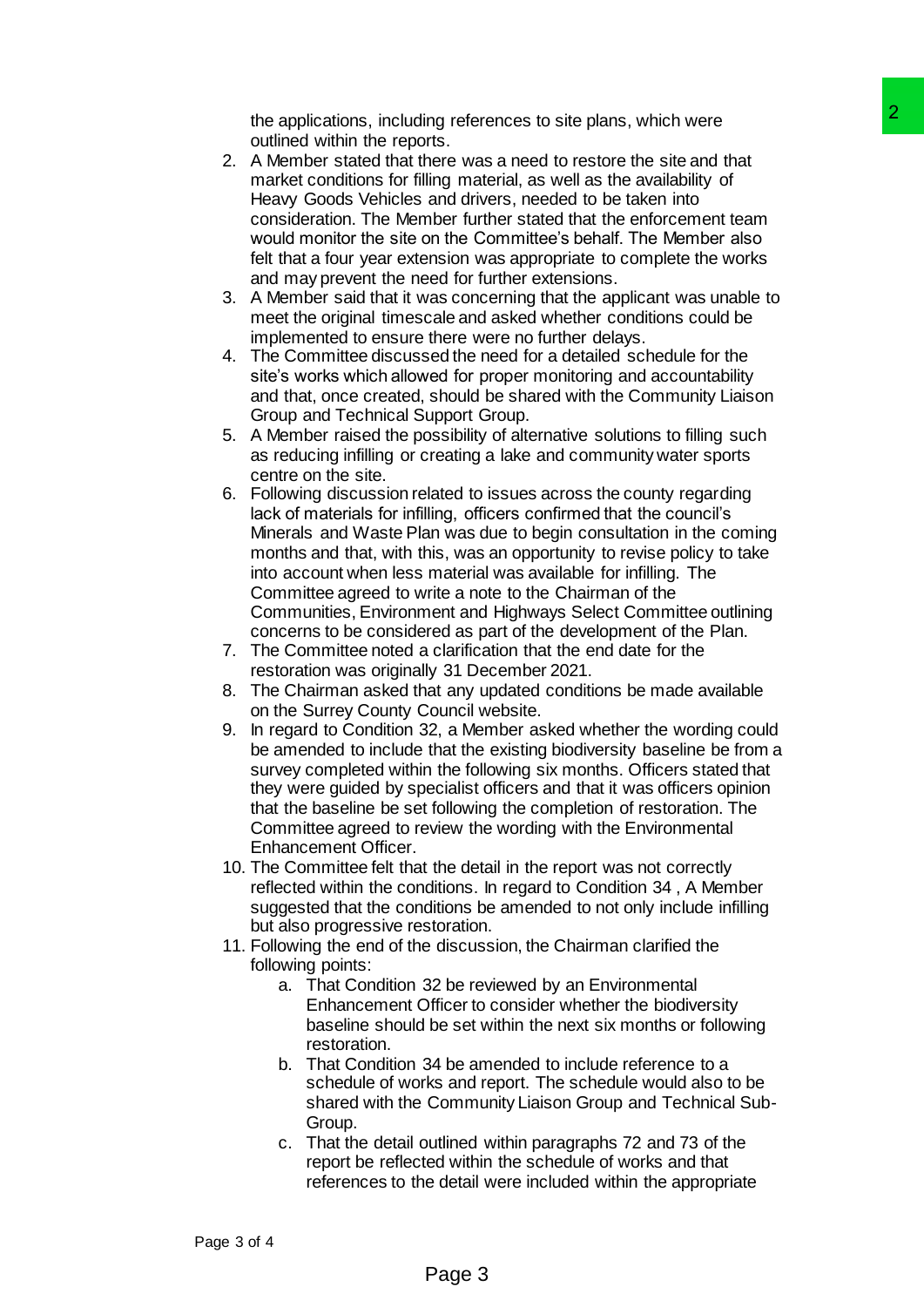the applications, including references to site plans, which were outlined within the reports.

- 2. A Member stated that there was a need to restore the site and that market conditions for filling material, as well as the availability of Heavy Goods Vehicles and drivers, needed to be taken into consideration. The Member further stated that the enforcement team would monitor the site on the Committee's behalf. The Member also felt that a four year extension was appropriate to complete the works and may prevent the need for further extensions.
- 3. A Member said that it was concerning that the applicant was unable to meet the original timescale and asked whether conditions could be implemented to ensure there were no further delays.
- 4. The Committee discussed the need for a detailed schedule for the site's works which allowed for proper monitoring and accountability and that, once created, should be shared with the Community Liaison Group and Technical Support Group.
- 5. A Member raised the possibility of alternative solutions to filling such as reducing infilling or creating a lake and community water sports centre on the site.
- 6. Following discussion related to issues across the county regarding lack of materials for infilling, officers confirmed that the council's Minerals and Waste Plan was due to begin consultation in the coming months and that, with this, was an opportunity to revise policy to take into account when less material was available for infilling. The Committee agreed to write a note to the Chairman of the Communities, Environment and Highways Select Committee outlining concerns to be considered as part of the development of the Plan. ng references to site plans, which were<br>ng angel to reative the site plans which were<br>there was a need to reative the site pland that<br>and drives, needed to be laken into<br>and drives and the commuteres behalt the enforcement
- 7. The Committee noted a clarification that the end date for the restoration was originally 31 December 2021.
- 8. The Chairman asked that any updated conditions be made available on the Surrey County Council website.
- 9. In regard to Condition 32, a Member asked whether the wording could be amended to include that the existing biodiversity baseline be from a survey completed within the following six months. Officers stated that they were guided by specialist officers and that it was officers opinion that the baseline be set following the completion of restoration. The Committee agreed to review the wording with the Environmental Enhancement Officer.
- 10. The Committee felt that the detail in the report was not correctly reflected within the conditions. In regard to Condition 34 , A Member suggested that the conditions be amended to not only include infilling but also progressive restoration.
- 11. Following the end of the discussion, the Chairman clarified the following points:
	- a. That Condition 32 be reviewed by an Environmental Enhancement Officer to consider whether the biodiversity baseline should be set within the next six months or following restoration.
	- b. That Condition 34 be amended to include reference to a schedule of works and report. The schedule would also to be shared with the Community Liaison Group and Technical Sub-Group.
	- c. That the detail outlined within paragraphs 72 and 73 of the report be reflected within the schedule of works and that references to the detail were included within the appropriate